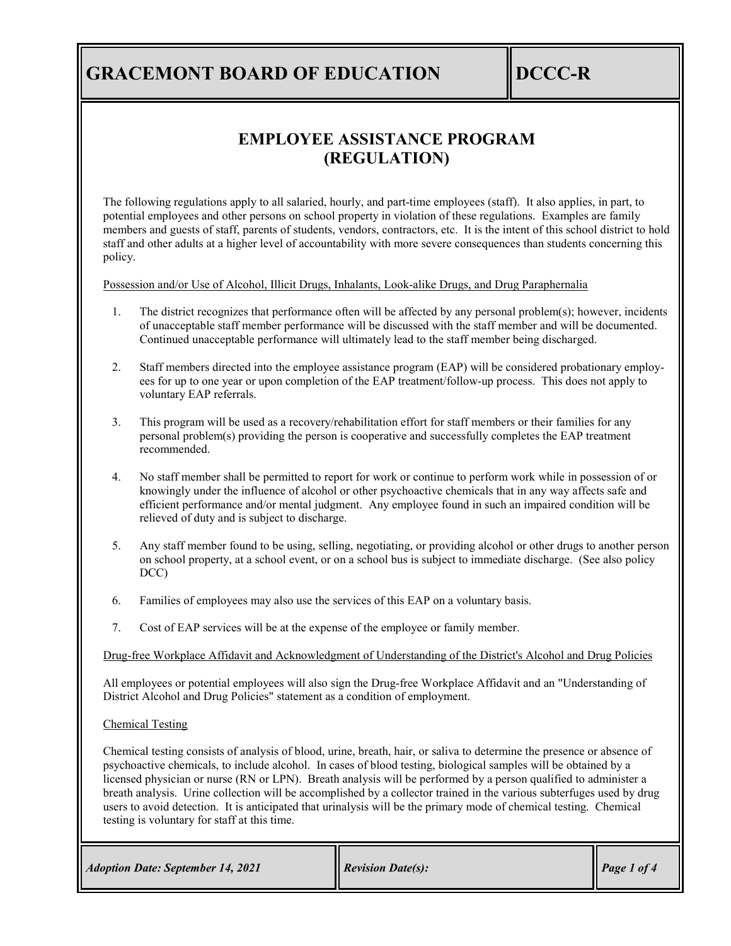# **GRACEMONT BOARD OF EDUCATION DCCC-R**

## **EMPLOYEE ASSISTANCE PROGRAM (REGULATION)**

The following regulations apply to all salaried, hourly, and part-time employees (staff). It also applies, in part, to potential employees and other persons on school property in violation of these regulations. Examples are family members and guests of staff, parents of students, vendors, contractors, etc. It is the intent of this school district to hold staff and other adults at a higher level of accountability with more severe consequences than students concerning this policy.

Possession and/or Use of Alcohol, Illicit Drugs, Inhalants, Look-alike Drugs, and Drug Paraphernalia

- 1. The district recognizes that performance often will be affected by any personal problem(s); however, incidents of unacceptable staff member performance will be discussed with the staff member and will be documented. Continued unacceptable performance will ultimately lead to the staff member being discharged.
- 2. Staff members directed into the employee assistance program (EAP) will be considered probationary employees for up to one year or upon completion of the EAP treatment/follow-up process. This does not apply to voluntary EAP referrals.
- 3. This program will be used as a recovery/rehabilitation effort for staff members or their families for any personal problem(s) providing the person is cooperative and successfully completes the EAP treatment recommended.
- 4. No staff member shall be permitted to report for work or continue to perform work while in possession of or knowingly under the influence of alcohol or other psychoactive chemicals that in any way affects safe and efficient performance and/or mental judgment. Any employee found in such an impaired condition will be relieved of duty and is subject to discharge.
- 5. Any staff member found to be using, selling, negotiating, or providing alcohol or other drugs to another person on school property, at a school event, or on a school bus is subject to immediate discharge. (See also policy DCC)
- 6. Families of employees may also use the services of this EAP on a voluntary basis.
- 7. Cost of EAP services will be at the expense of the employee or family member.

Drug-free Workplace Affidavit and Acknowledgment of Understanding of the District's Alcohol and Drug Policies

All employees or potential employees will also sign the Drug-free Workplace Affidavit and an "Understanding of District Alcohol and Drug Policies" statement as a condition of employment.

#### Chemical Testing

Chemical testing consists of analysis of blood, urine, breath, hair, or saliva to determine the presence or absence of psychoactive chemicals, to include alcohol. In cases of blood testing, biological samples will be obtained by a licensed physician or nurse (RN or LPN). Breath analysis will be performed by a person qualified to administer a breath analysis. Urine collection will be accomplished by a collector trained in the various subterfuges used by drug users to avoid detection. It is anticipated that urinalysis will be the primary mode of chemical testing. Chemical testing is voluntary for staff at this time.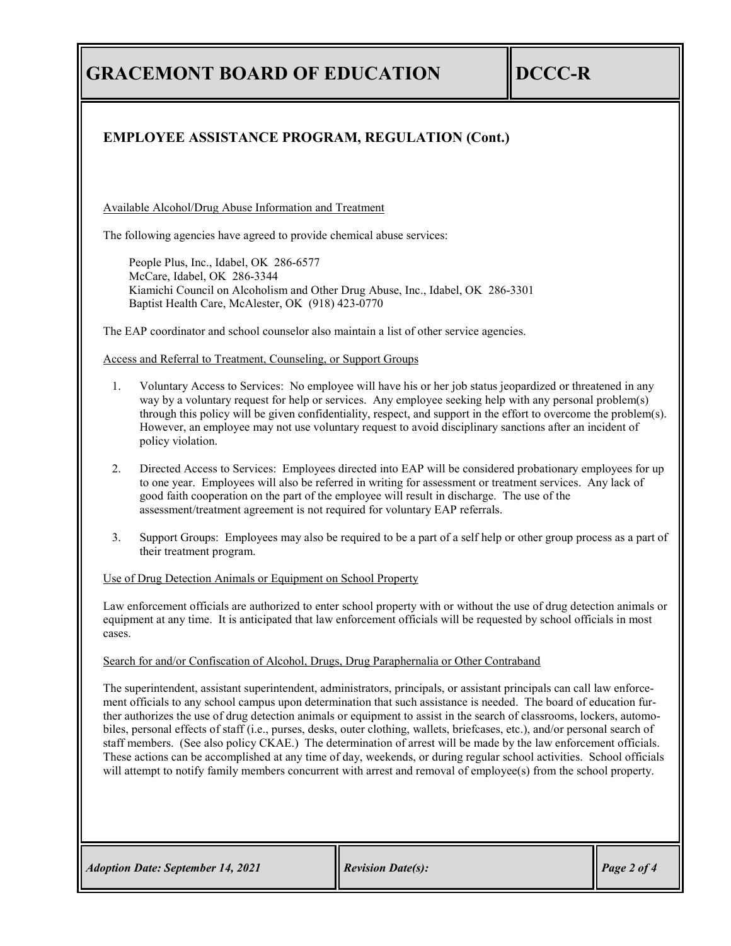**GRACEMONT BOARD OF EDUCATION DCCC-R** 

### **EMPLOYEE ASSISTANCE PROGRAM, REGULATION (Cont.)**

Available Alcohol/Drug Abuse Information and Treatment

The following agencies have agreed to provide chemical abuse services:

People Plus, Inc., Idabel, OK 286-6577 McCare, Idabel, OK 286-3344 Kiamichi Council on Alcoholism and Other Drug Abuse, Inc., Idabel, OK 286-3301 Baptist Health Care, McAlester, OK (918) 423-0770

The EAP coordinator and school counselor also maintain a list of other service agencies.

Access and Referral to Treatment, Counseling, or Support Groups

- 1. Voluntary Access to Services: No employee will have his or her job status jeopardized or threatened in any way by a voluntary request for help or services. Any employee seeking help with any personal problem(s) through this policy will be given confidentiality, respect, and support in the effort to overcome the problem(s). However, an employee may not use voluntary request to avoid disciplinary sanctions after an incident of policy violation.
- 2. Directed Access to Services: Employees directed into EAP will be considered probationary employees for up to one year. Employees will also be referred in writing for assessment or treatment services. Any lack of good faith cooperation on the part of the employee will result in discharge. The use of the assessment/treatment agreement is not required for voluntary EAP referrals.
- 3. Support Groups: Employees may also be required to be a part of a self help or other group process as a part of their treatment program.

### Use of Drug Detection Animals or Equipment on School Property

Law enforcement officials are authorized to enter school property with or without the use of drug detection animals or equipment at any time. It is anticipated that law enforcement officials will be requested by school officials in most cases.

#### Search for and/or Confiscation of Alcohol, Drugs, Drug Paraphernalia or Other Contraband

The superintendent, assistant superintendent, administrators, principals, or assistant principals can call law enforcement officials to any school campus upon determination that such assistance is needed. The board of education further authorizes the use of drug detection animals or equipment to assist in the search of classrooms, lockers, automobiles, personal effects of staff (i.e., purses, desks, outer clothing, wallets, briefcases, etc.), and/or personal search of staff members. (See also policy CKAE.) The determination of arrest will be made by the law enforcement officials. These actions can be accomplished at any time of day, weekends, or during regular school activities. School officials will attempt to notify family members concurrent with arrest and removal of employee(s) from the school property.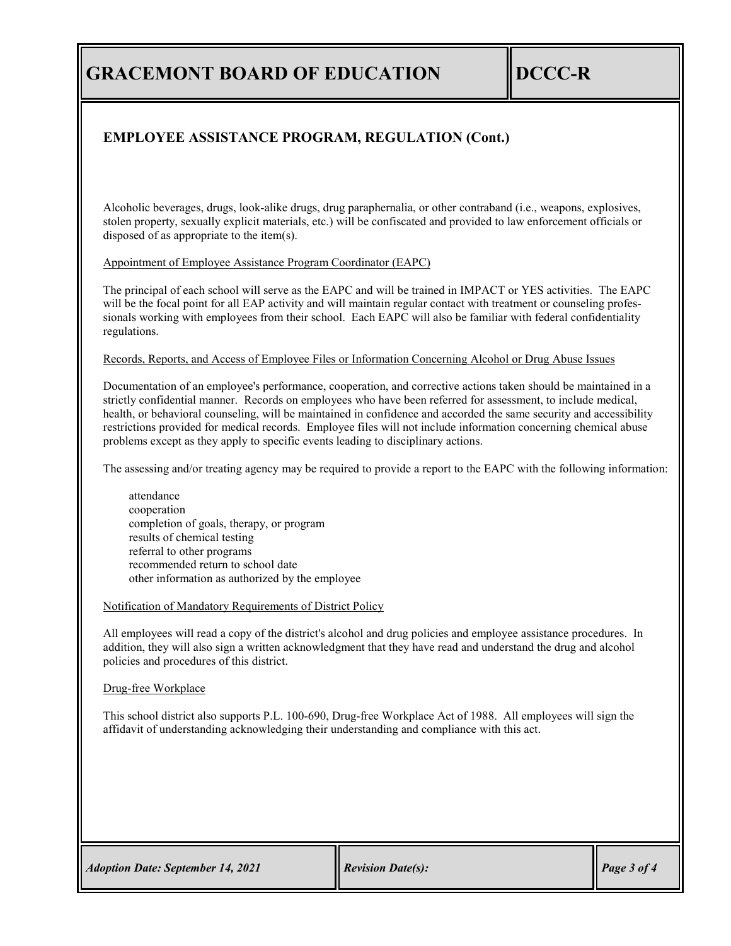# **GRACEMONT BOARD OF EDUCATION DCCC-R**

### **EMPLOYEE ASSISTANCE PROGRAM, REGULATION (Cont.)**

Alcoholic beverages, drugs, look-alike drugs, drug paraphernalia, or other contraband (i.e., weapons, explosives, stolen property, sexually explicit materials, etc.) will be confiscated and provided to law enforcement officials or disposed of as appropriate to the item(s).

### Appointment of Employee Assistance Program Coordinator (EAPC)

The principal of each school will serve as the EAPC and will be trained in IMPACT or YES activities. The EAPC will be the focal point for all EAP activity and will maintain regular contact with treatment or counseling professionals working with employees from their school. Each EAPC will also be familiar with federal confidentiality regulations.

### Records, Reports, and Access of Employee Files or Information Concerning Alcohol or Drug Abuse Issues

Documentation of an employee's performance, cooperation, and corrective actions taken should be maintained in a strictly confidential manner. Records on employees who have been referred for assessment, to include medical, health, or behavioral counseling, will be maintained in confidence and accorded the same security and accessibility restrictions provided for medical records. Employee files will not include information concerning chemical abuse problems except as they apply to specific events leading to disciplinary actions.

The assessing and/or treating agency may be required to provide a report to the EAPC with the following information:

attendance cooperation completion of goals, therapy, or program results of chemical testing referral to other programs recommended return to school date other information as authorized by the employee

#### Notification of Mandatory Requirements of District Policy

All employees will read a copy of the district's alcohol and drug policies and employee assistance procedures. In addition, they will also sign a written acknowledgment that they have read and understand the drug and alcohol policies and procedures of this district.

### Drug-free Workplace

This school district also supports P.L. 100-690, Drug-free Workplace Act of 1988. All employees will sign the affidavit of understanding acknowledging their understanding and compliance with this act.